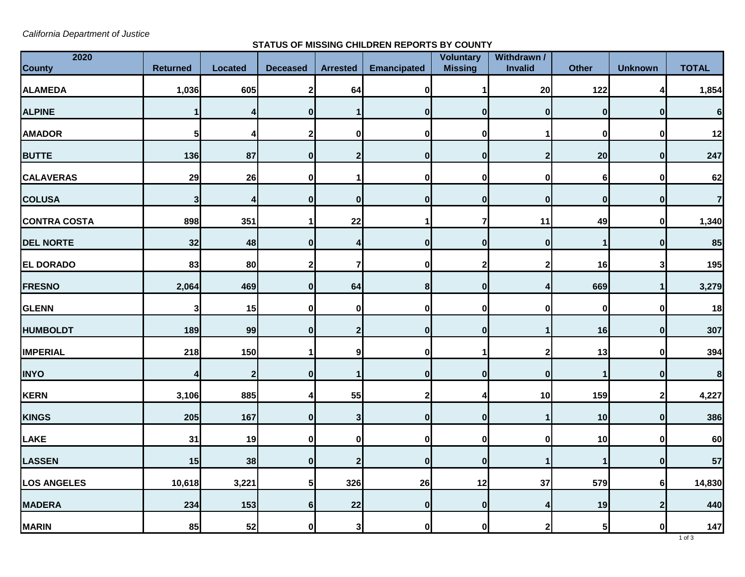*California Department of Justice*

## **STATUS OF MISSING CHILDREN REPORTS BY COUNTY**

| 2020                |                 |                |                 |                 |                    | Voluntary      | Withdrawn /      |                |                  |                  |
|---------------------|-----------------|----------------|-----------------|-----------------|--------------------|----------------|------------------|----------------|------------------|------------------|
| <b>County</b>       | <b>Returned</b> | <b>Located</b> | <b>Deceased</b> | <b>Arrested</b> | <b>Emancipated</b> | <b>Missing</b> | <b>Invalid</b>   | <b>Other</b>   | <b>Unknown</b>   | <b>TOTAL</b>     |
| <b>ALAMEDA</b>      | 1,036           | 605            |                 | 64              | 0                  |                | 20               | 122            |                  | 1,854            |
| <b>ALPINE</b>       |                 |                |                 |                 | O                  |                | $\boldsymbol{0}$ | 0              | $\bf{0}$         | 6                |
| <b>AMADOR</b>       | 5 <sub>l</sub>  |                |                 | $\mathbf{0}$    | 0                  |                |                  | 0              | $\bf{0}$         | 12               |
| <b>BUTTE</b>        | 136             | 87             |                 |                 | 0                  | $\bf{0}$       |                  | 20             | $\boldsymbol{0}$ | 247              |
| <b>CALAVERAS</b>    | 29              | 26             | ŋ               |                 | 0                  | 0              | $\mathbf 0$      | 6              | $\bf{0}$         | 62               |
| <b>COLUSA</b>       | 3               |                |                 | $\mathbf{0}$    | 0                  | 0              | $\boldsymbol{0}$ | 0              | 0                | $\overline{7}$   |
| <b>CONTRA COSTA</b> | 898             | 351            |                 | 22              |                    |                | 11               | 49             | 0                | 1,340            |
| <b>DEL NORTE</b>    | 32              | 48             | 0               |                 | 0                  |                | 0                | 1              | 0                | 85               |
| <b>EL DORADO</b>    | 83              | 80             |                 |                 | 0                  |                | $\mathbf 2$      | 16             | 3                | 195              |
| <b>FRESNO</b>       | 2,064           | 469            | 0               | 64              | 8 <sup>1</sup>     | $\Omega$       |                  | 669            |                  | 3,279            |
| <b>GLENN</b>        | 3 <sup>l</sup>  | 15             |                 | 01              | O                  |                | 0                | 0              | 0                | 18               |
| <b>HUMBOLDT</b>     | 189             | 99             | 0               | 2               | $\boldsymbol{0}$   | $\mathbf{0}$   |                  | 16             | 0                | 307              |
| <b>IMPERIAL</b>     | 218             | 150            |                 | 9 <sub>l</sub>  | $\boldsymbol{0}$   |                | $\mathbf{2}$     | 13             | $\mathbf 0$      | 394              |
| <b>INYO</b>         |                 |                |                 |                 | O                  |                | $\boldsymbol{0}$ |                | 0                | $\boldsymbol{8}$ |
| KERN                | 3,106           | 885            |                 | 55              | $\mathbf{2}$       |                | 10               | 159            | 2                | 4,227            |
| <b>KINGS</b>        | 205             | 167            | $\bf{0}$        | 3               | 0                  | $\mathbf{0}$   |                  | 10             | 0                | 386              |
| LAKE                | 31              | 19             | 0               | $\mathbf{0}$    | 0                  | $\mathbf 0$    | 0                | 10             | 0                | 60               |
| <b>LASSEN</b>       | 15              | 38             | $\bf{0}$        | 2 <sub>l</sub>  | 0                  | $\mathbf{0}$   | 1                | $\mathbf 1$    | 0                | 57               |
| <b>LOS ANGELES</b>  | 10,618          | 3,221          |                 | 326             | 26                 | 12             | 37               | 579            | <sup>6</sup>     | 14,830           |
| <b>MADERA</b>       | 234             | 153            | 6               | 22              | 0                  | 0              | 4                | 19             | $\boldsymbol{2}$ | 440              |
| <b>MARIN</b>        | 85              | 52             | $\bf{0}$        | 3 <sub>l</sub>  | 0                  | $\mathbf{0}$   | $\mathbf{2}$     | 5 <sub>l</sub> | 0                | 147              |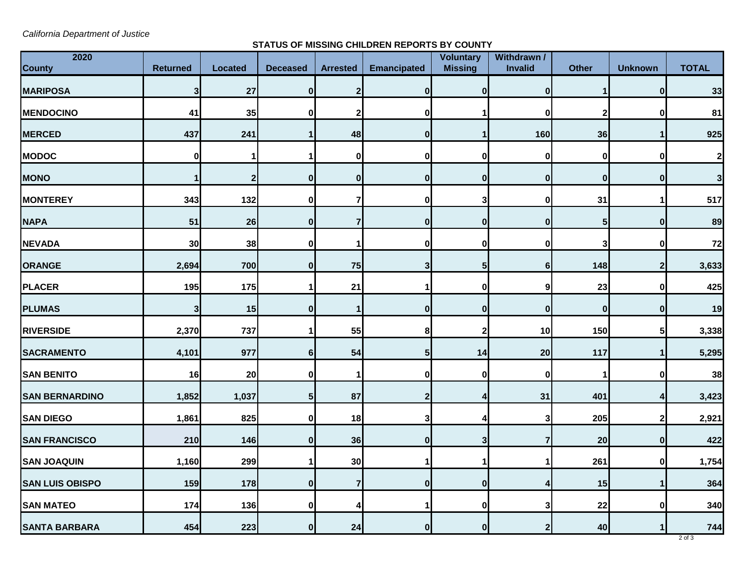*California Department of Justice*

## **STATUS OF MISSING CHILDREN REPORTS BY COUNTY**

| 2020<br><b>County</b>  | <b>Returned</b> | <b>Located</b> | <b>Deceased</b> | <b>Arrested</b> | <b>Emancipated</b> | <b>Voluntary</b><br><b>Missing</b> | Withdrawn /<br><b>Invalid</b> | <b>Other</b>     | <b>Unknown</b>   | <b>TOTAL</b> |
|------------------------|-----------------|----------------|-----------------|-----------------|--------------------|------------------------------------|-------------------------------|------------------|------------------|--------------|
| <b>MARIPOSA</b>        | 3 <sup>1</sup>  | 27             | 0               | 2               | 0                  | 0I                                 |                               |                  | $\bf{0}$         | 33           |
| <b>MENDOCINO</b>       | 41              | 35             |                 |                 | 0                  |                                    |                               |                  |                  | 81           |
| <b>MERCED</b>          | 437             | 241            |                 | 48              | 0                  |                                    | 160                           | 36               |                  | 925          |
| <b>MODOC</b>           | 0               |                |                 | 0               | $\bf{0}$           | 01                                 | 0                             | $\boldsymbol{0}$ | O                | $\mathbf{2}$ |
| <b>MONO</b>            |                 |                | O               | 0               | 0                  | $\mathbf{0}$                       | $\mathbf{0}$                  | $\bf{0}$         | $\boldsymbol{0}$ | $\mathbf{3}$ |
| <b>MONTEREY</b>        | 343             | 132            |                 |                 | 0                  |                                    |                               | 31               |                  | 517          |
| <b>NAPA</b>            | 51              | 26             |                 |                 | 0                  | 01                                 | 0                             | 5                | 0                | 89           |
| <b>NEVADA</b>          | 30              | 38             |                 |                 | 0                  | 01                                 | 0                             | 3                | 0                | 72           |
| <b>ORANGE</b>          | 2,694           | 700            |                 | 75              | 3                  | 51                                 | 61                            | 148              |                  | 3,633        |
| <b>PLACER</b>          | 195             | 175            |                 | 21              |                    | 01                                 | 9                             | 23               | 0                | 425          |
| <b>PLUMAS</b>          | 3 <sup>1</sup>  | 15             |                 |                 | 0                  | 01                                 | 0                             | 0                | <sup>0</sup>     | 19           |
| <b>RIVERSIDE</b>       | 2,370           | 737            |                 | 55              | 8                  |                                    | 10                            | 150              |                  | 3,338        |
| <b>SACRAMENTO</b>      | 4,101           | 977            | 6               | 54              | 5 <sub>1</sub>     | 14                                 | 20                            | 117              |                  | 5,295        |
| <b>SAN BENITO</b>      | 16              | 20             |                 |                 | 0                  | 01                                 |                               |                  |                  | 38           |
| <b>SAN BERNARDINO</b>  | 1,852           | 1,037          | 5 <sup>1</sup>  | 87              | 2 <sub>l</sub>     |                                    | 31                            | 401              | 4                | 3,423        |
| <b>SAN DIEGO</b>       | 1,861           | 825            |                 | 18              | 3                  |                                    | 3                             | 205              |                  | 2,921        |
| <b>SAN FRANCISCO</b>   | 210             | 146            | O               | 36              | 0                  | 3 <sup>1</sup>                     |                               | 20               | 0                | 422          |
| <b>SAN JOAQUIN</b>     | 1,160           | 299            |                 | 30              |                    |                                    |                               | 261              | $\bf{0}$         | 1,754        |
| <b>SAN LUIS OBISPO</b> | 159             | 178            | 0               |                 | 0                  | $\mathbf{0}$                       |                               | 15               |                  | 364          |
| <b>SAN MATEO</b>       | $174$           | 136            | 0               |                 |                    | $\mathbf{0}$                       | 3                             | 22               | $\bf{0}$         | 340          |
| <b>SANTA BARBARA</b>   | 454             | 223            | $\bf{0}$        | 24              | $\bf{0}$           | 01                                 | 2                             | 40               |                  | 744          |